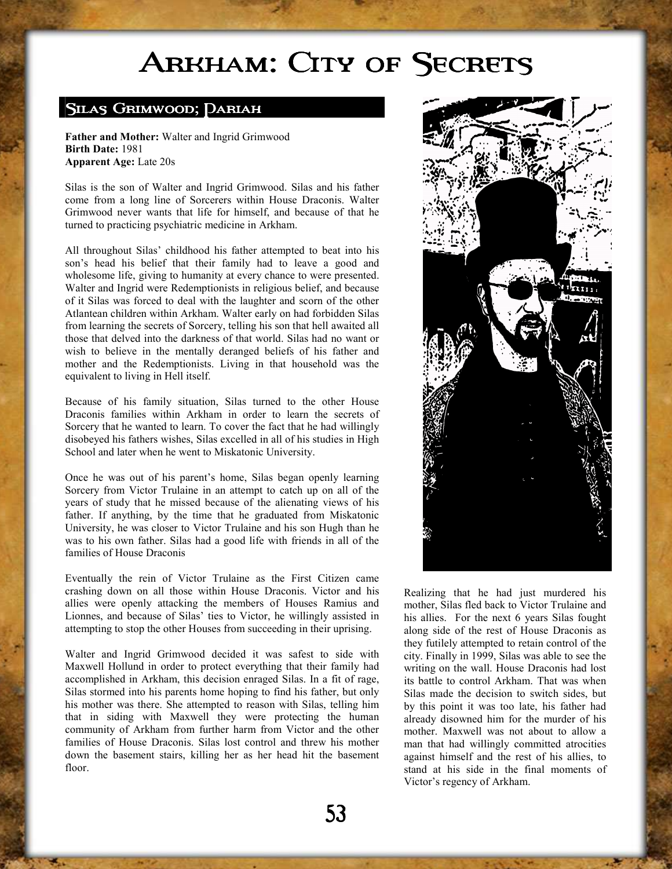## ARKHAM: CITY OF SECRETS

## SILAS GRIMWOOD; DARIAH

**Father and Mother:** Walter and Ingrid Grimwood **Birth Date:** 1981 **Apparent Age:** Late 20s

Silas is the son of Walter and Ingrid Grimwood. Silas and his father come from a long line of Sorcerers within House Draconis. Walter Grimwood never wants that life for himself, and because of that he turned to practicing psychiatric medicine in Arkham.

All throughout Silas' childhood his father attempted to beat into his son's head his belief that their family had to leave a good and wholesome life, giving to humanity at every chance to were presented. Walter and Ingrid were Redemptionists in religious belief, and because of it Silas was forced to deal with the laughter and scorn of the other Atlantean children within Arkham. Walter early on had forbidden Silas from learning the secrets of Sorcery, telling his son that hell awaited all those that delved into the darkness of that world. Silas had no want or wish to believe in the mentally deranged beliefs of his father and mother and the Redemptionists. Living in that household was the equivalent to living in Hell itself.

Because of his family situation, Silas turned to the other House Draconis families within Arkham in order to learn the secrets of Sorcery that he wanted to learn. To cover the fact that he had willingly disobeyed his fathers wishes, Silas excelled in all of his studies in High School and later when he went to Miskatonic University.

Once he was out of his parent's home, Silas began openly learning Sorcery from Victor Trulaine in an attempt to catch up on all of the years of study that he missed because of the alienating views of his father. If anything, by the time that he graduated from Miskatonic University, he was closer to Victor Trulaine and his son Hugh than he was to his own father. Silas had a good life with friends in all of the families of House Draconis

Eventually the rein of Victor Trulaine as the First Citizen came crashing down on all those within House Draconis. Victor and his allies were openly attacking the members of Houses Ramius and Lionnes, and because of Silas' ties to Victor, he willingly assisted in attempting to stop the other Houses from succeeding in their uprising.

Walter and Ingrid Grimwood decided it was safest to side with Maxwell Hollund in order to protect everything that their family had accomplished in Arkham, this decision enraged Silas. In a fit of rage, Silas stormed into his parents home hoping to find his father, but only his mother was there. She attempted to reason with Silas, telling him that in siding with Maxwell they were protecting the human community of Arkham from further harm from Victor and the other families of House Draconis. Silas lost control and threw his mother down the basement stairs, killing her as her head hit the basement floor.



Realizing that he had just murdered his mother, Silas fled back to Victor Trulaine and his allies. For the next 6 years Silas fought along side of the rest of House Draconis as they futilely attempted to retain control of the city. Finally in 1999, Silas was able to see the writing on the wall. House Draconis had lost its battle to control Arkham. That was when Silas made the decision to switch sides, but by this point it was too late, his father had already disowned him for the murder of his mother. Maxwell was not about to allow a man that had willingly committed atrocities against himself and the rest of his allies, to stand at his side in the final moments of Victor's regency of Arkham.